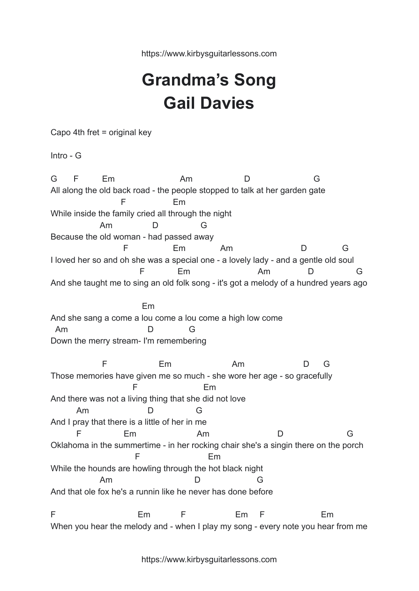https://www.kirbysguitarlessons.com

## **Grandma's Song Gail Davies**

Capo 4th fret = original key

Intro - G

G F Em Am D G All along the old back road - the people stopped to talk at her garden gate F Em While inside the family cried all through the night Am D G Because the old woman - had passed away F Em Am D G I loved her so and oh she was a special one - a lovely lady - and a gentle old soul F Em Am D G And she taught me to sing an old folk song - it's got a melody of a hundred years ago Em And she sang a come a lou come a lou come a high low come Am D G Down the merry stream- I'm remembering F Em Am D G Those memories have given me so much - she wore her age - so gracefully F Em And there was not a living thing that she did not love Am D G And I pray that there is a little of her in me F Em Am D G Oklahoma in the summertime - in her rocking chair she's a singin there on the porch F Em While the hounds are howling through the hot black night Am D G And that ole fox he's a runnin like he never has done before F Em F Em F Em When you hear the melody and - when I play my song - every note you hear from me

https://www.kirbysguitarlessons.com